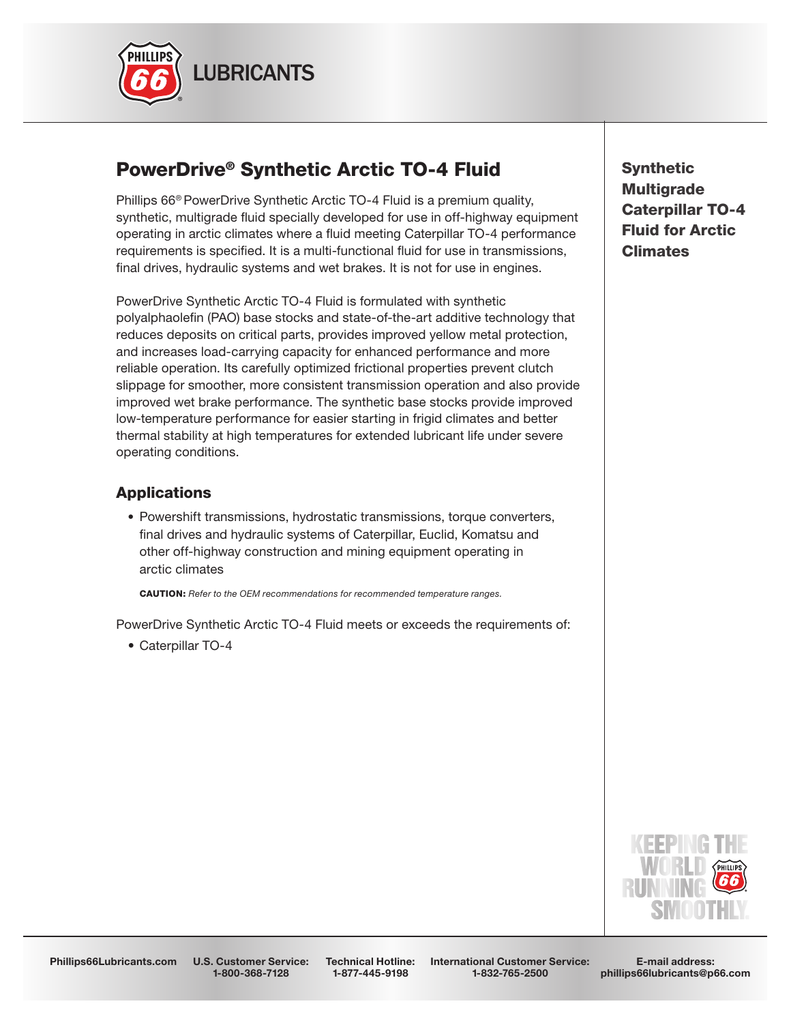

# PowerDrive® Synthetic Arctic TO-4 Fluid

Phillips 66® PowerDrive Synthetic Arctic TO-4 Fluid is a premium quality, synthetic, multigrade fluid specially developed for use in off-highway equipment operating in arctic climates where a fluid meeting Caterpillar TO-4 performance requirements is specified. It is a multi-functional fluid for use in transmissions, final drives, hydraulic systems and wet brakes. It is not for use in engines.

PowerDrive Synthetic Arctic TO-4 Fluid is formulated with synthetic polyalphaolefin (PAO) base stocks and state-of-the-art additive technology that reduces deposits on critical parts, provides improved yellow metal protection, and increases load-carrying capacity for enhanced performance and more reliable operation. Its carefully optimized frictional properties prevent clutch slippage for smoother, more consistent transmission operation and also provide improved wet brake performance. The synthetic base stocks provide improved low-temperature performance for easier starting in frigid climates and better thermal stability at high temperatures for extended lubricant life under severe operating conditions.

# **Applications**

 • Powershift transmissions, hydrostatic transmissions, torque converters, final drives and hydraulic systems of Caterpillar, Euclid, Komatsu and other off-highway construction and mining equipment operating in arctic climates

CAUTION: *Refer to the OEM recommendations for recommended temperature ranges.*

PowerDrive Synthetic Arctic TO-4 Fluid meets or exceeds the requirements of:

• Caterpillar TO-4

**Synthetic Multigrade** Caterpillar TO-4 Fluid for Arctic Climates



Phillips66Lubricants.com U.S. Customer Service: 1-800-368-7128

Technical Hotline: 1-877-445-9198

International Customer Service: 1-832-765-2500

E-mail address: phillips66lubricants@p66.com